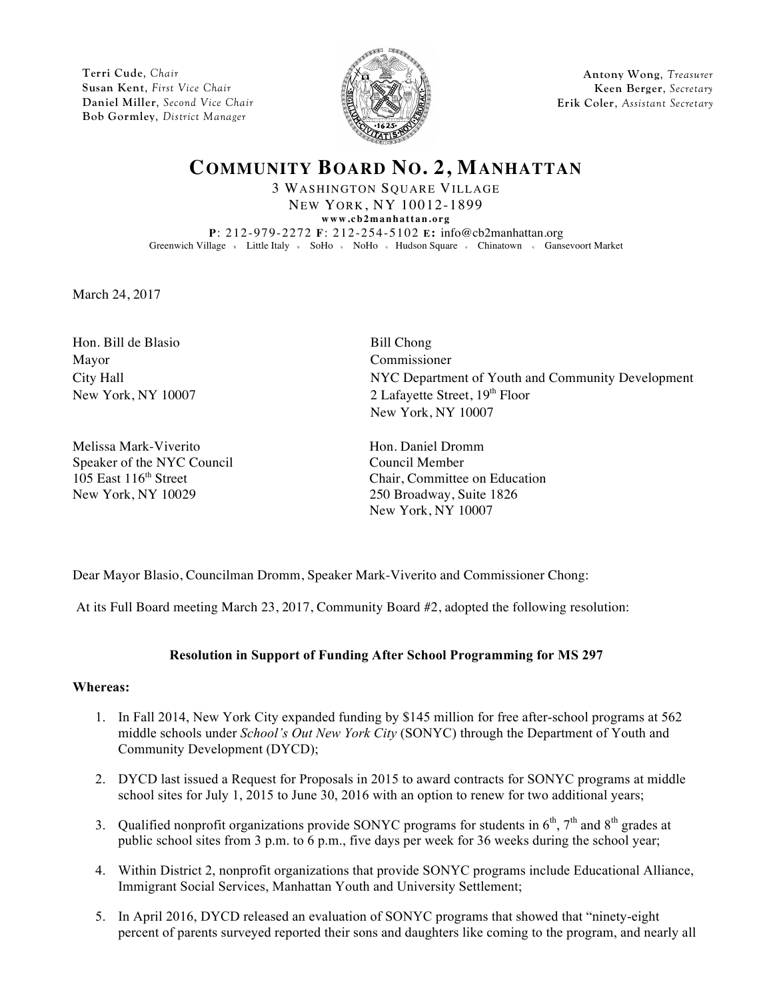**Terri Cude**, *Chair* **Susan Kent**, *First Vice Chair* **Daniel Miller**, *Second Vice Chair* **Bob Gormley**, *District Manager*



**Antony Wong**, *Treasurer* **Keen Berger**, *Secretary* **Erik Coler**, *Assistant Secretary*

# **COMMUNITY BOARD NO. 2, MANHATTAN**

3 WASHINGTON SQUARE VILLAGE NEW YORK, NY 10012-1899 **www.cb2manhattan.org P**: 212-979-2272 **F**: 212-254-5102 **E:** info@cb2manhattan.org Greenwich Village v Little Italy v SoHo v NoHo v Hudson Square v Chinatown v Gansevoort Market

March 24, 2017

Hon. Bill de Blasio Bill Chong Mayor Commissioner

Melissa Mark-Viverito **Hones** Hon. Daniel Dromm Speaker of the NYC Council Council Council Member New York, NY 10029 250 Broadway, Suite 1826

City Hall NYC Department of Youth and Community Development New York, NY 10007 2 Lafayette Street, 19<sup>th</sup> Floor New York, NY 10007

105 East 116<sup>th</sup> Street Chair, Committee on Education New York, NY 10007

Dear Mayor Blasio, Councilman Dromm, Speaker Mark-Viverito and Commissioner Chong:

At its Full Board meeting March 23, 2017, Community Board #2, adopted the following resolution:

## **Resolution in Support of Funding After School Programming for MS 297**

### **Whereas:**

- 1. In Fall 2014, New York City expanded funding by \$145 million for free after-school programs at 562 middle schools under *School's Out New York City* (SONYC) through the Department of Youth and Community Development (DYCD);
- 2. DYCD last issued a Request for Proposals in 2015 to award contracts for SONYC programs at middle school sites for July 1, 2015 to June 30, 2016 with an option to renew for two additional years;
- 3. Qualified nonprofit organizations provide SONYC programs for students in  $6<sup>th</sup>$ ,  $7<sup>th</sup>$  and  $8<sup>th</sup>$  grades at public school sites from 3 p.m. to 6 p.m., five days per week for 36 weeks during the school year;
- 4. Within District 2, nonprofit organizations that provide SONYC programs include Educational Alliance, Immigrant Social Services, Manhattan Youth and University Settlement;
- 5. In April 2016, DYCD released an evaluation of SONYC programs that showed that "ninety-eight percent of parents surveyed reported their sons and daughters like coming to the program, and nearly all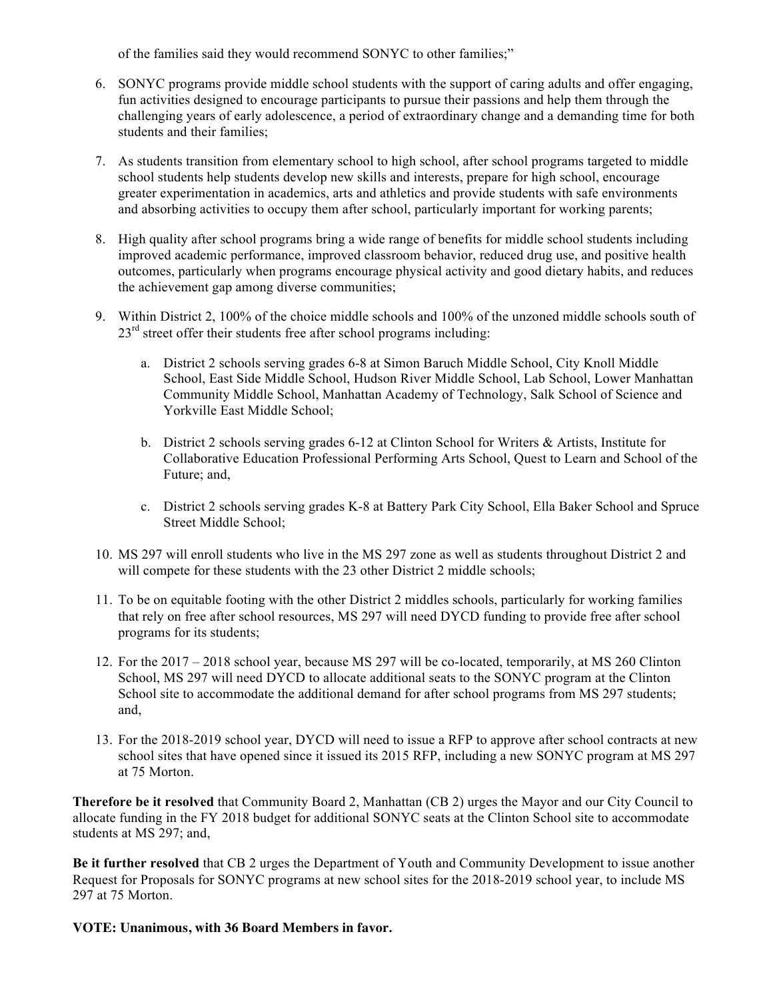of the families said they would recommend SONYC to other families;"

- 6. SONYC programs provide middle school students with the support of caring adults and offer engaging, fun activities designed to encourage participants to pursue their passions and help them through the challenging years of early adolescence, a period of extraordinary change and a demanding time for both students and their families;
- 7. As students transition from elementary school to high school, after school programs targeted to middle school students help students develop new skills and interests, prepare for high school, encourage greater experimentation in academics, arts and athletics and provide students with safe environments and absorbing activities to occupy them after school, particularly important for working parents;
- 8. High quality after school programs bring a wide range of benefits for middle school students including improved academic performance, improved classroom behavior, reduced drug use, and positive health outcomes, particularly when programs encourage physical activity and good dietary habits, and reduces the achievement gap among diverse communities;
- 9. Within District 2, 100% of the choice middle schools and 100% of the unzoned middle schools south of  $23<sup>rd</sup>$  street offer their students free after school programs including:
	- a. District 2 schools serving grades 6-8 at Simon Baruch Middle School, City Knoll Middle School, East Side Middle School, Hudson River Middle School, Lab School, Lower Manhattan Community Middle School, Manhattan Academy of Technology, Salk School of Science and Yorkville East Middle School;
	- b. District 2 schools serving grades 6-12 at Clinton School for Writers & Artists, Institute for Collaborative Education Professional Performing Arts School, Quest to Learn and School of the Future; and,
	- c. District 2 schools serving grades K-8 at Battery Park City School, Ella Baker School and Spruce Street Middle School;
- 10. MS 297 will enroll students who live in the MS 297 zone as well as students throughout District 2 and will compete for these students with the 23 other District 2 middle schools;
- 11. To be on equitable footing with the other District 2 middles schools, particularly for working families that rely on free after school resources, MS 297 will need DYCD funding to provide free after school programs for its students;
- 12. For the 2017 2018 school year, because MS 297 will be co-located, temporarily, at MS 260 Clinton School, MS 297 will need DYCD to allocate additional seats to the SONYC program at the Clinton School site to accommodate the additional demand for after school programs from MS 297 students; and,
- 13. For the 2018-2019 school year, DYCD will need to issue a RFP to approve after school contracts at new school sites that have opened since it issued its 2015 RFP, including a new SONYC program at MS 297 at 75 Morton.

**Therefore be it resolved** that Community Board 2, Manhattan (CB 2) urges the Mayor and our City Council to allocate funding in the FY 2018 budget for additional SONYC seats at the Clinton School site to accommodate students at MS 297; and,

**Be it further resolved** that CB 2 urges the Department of Youth and Community Development to issue another Request for Proposals for SONYC programs at new school sites for the 2018-2019 school year, to include MS 297 at 75 Morton.

**VOTE: Unanimous, with 36 Board Members in favor.**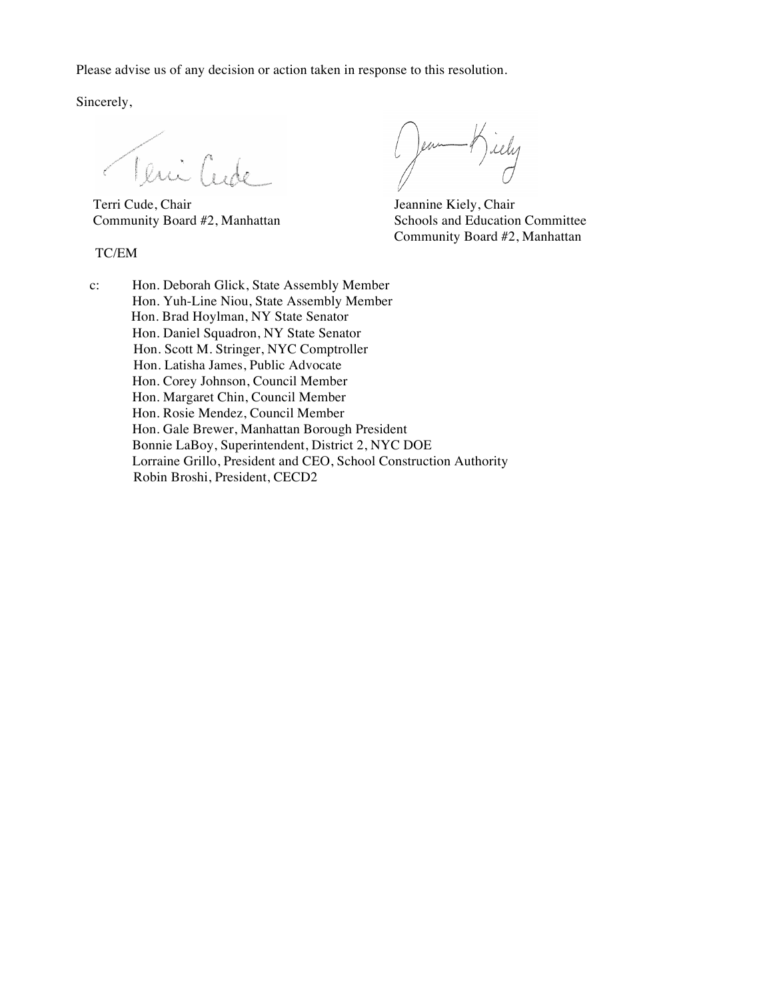Please advise us of any decision or action taken in response to this resolution.

Sincerely,

Terri Cude Lucie (Comme Comme Comme Comme Chair Juan )

TC/EM

rely en

Community Board #2, Manhattan Schools and Education Committee Community Board #2, Manhattan

c: Hon. Deborah Glick, State Assembly Member Hon. Yuh-Line Niou, State Assembly Member Hon. Brad Hoylman, NY State Senator Hon. Daniel Squadron, NY State Senator Hon. Scott M. Stringer, NYC Comptroller Hon. Latisha James, Public Advocate Hon. Corey Johnson, Council Member Hon. Margaret Chin, Council Member Hon. Rosie Mendez, Council Member Hon. Gale Brewer, Manhattan Borough President Bonnie LaBoy, Superintendent, District 2, NYC DOE Lorraine Grillo, President and CEO, School Construction Authority Robin Broshi, President, CECD2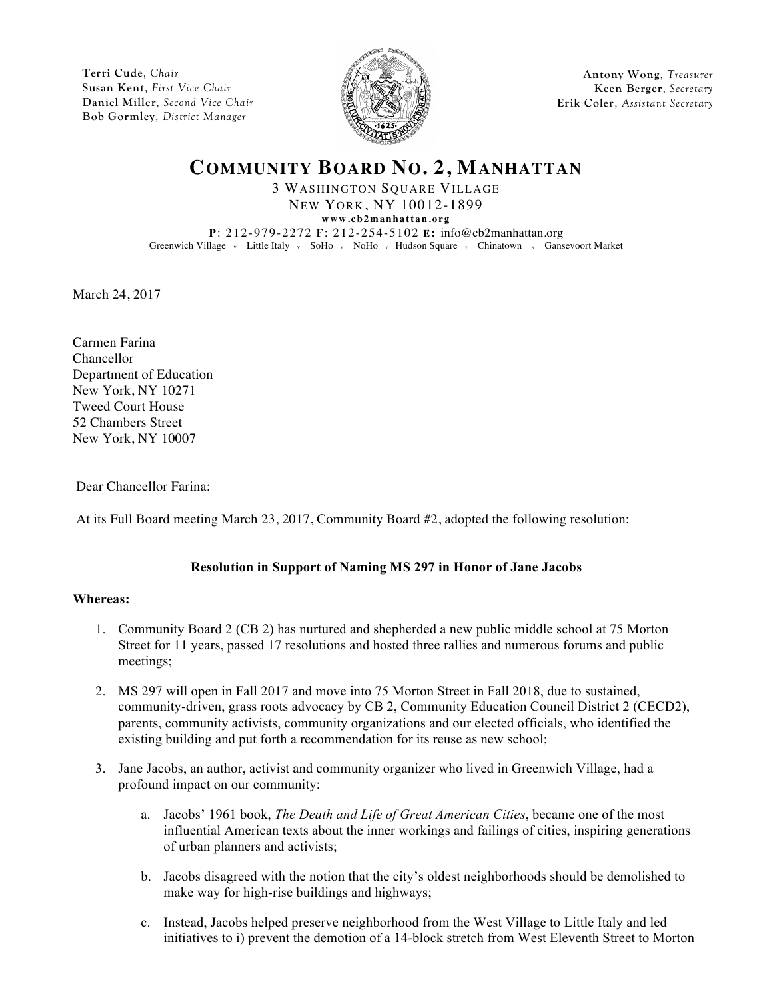**Terri Cude**, *Chair* **Susan Kent**, *First Vice Chair* **Daniel Miller**, *Second Vice Chair* **Bob Gormley**, *District Manager*



**Antony Wong**, *Treasurer* **Keen Berger**, *Secretary* **Erik Coler**, *Assistant Secretary*

## **COMMUNITY BOARD NO. 2, MANHATTAN**

3 WASHINGTON SQUARE VILLAGE NEW YORK, NY 10012-1899

**www.cb2manhattan.org P**: 212-979-2272 **F**: 212-254-5102 **E:** info@cb2manhattan.org Greenwich Village v Little Italy v SoHo v NoHo v Hudson Square v Chinatown v Gansevoort Market

March 24, 2017

Carmen Farina Chancellor Department of Education New York, NY 10271 Tweed Court House 52 Chambers Street New York, NY 10007

Dear Chancellor Farina:

At its Full Board meeting March 23, 2017, Community Board #2, adopted the following resolution:

## **Resolution in Support of Naming MS 297 in Honor of Jane Jacobs**

### **Whereas:**

- 1. Community Board 2 (CB 2) has nurtured and shepherded a new public middle school at 75 Morton Street for 11 years, passed 17 resolutions and hosted three rallies and numerous forums and public meetings;
- 2. MS 297 will open in Fall 2017 and move into 75 Morton Street in Fall 2018, due to sustained, community-driven, grass roots advocacy by CB 2, Community Education Council District 2 (CECD2), parents, community activists, community organizations and our elected officials, who identified the existing building and put forth a recommendation for its reuse as new school;
- 3. Jane Jacobs, an author, activist and community organizer who lived in Greenwich Village, had a profound impact on our community:
	- a. Jacobs' 1961 book, *The Death and Life of Great American Cities*, became one of the most influential American texts about the inner workings and failings of cities, inspiring generations of urban planners and activists;
	- b. Jacobs disagreed with the notion that the city's oldest neighborhoods should be demolished to make way for high-rise buildings and highways;
	- c. Instead, Jacobs helped preserve neighborhood from the West Village to Little Italy and led initiatives to i) prevent the demotion of a 14-block stretch from West Eleventh Street to Morton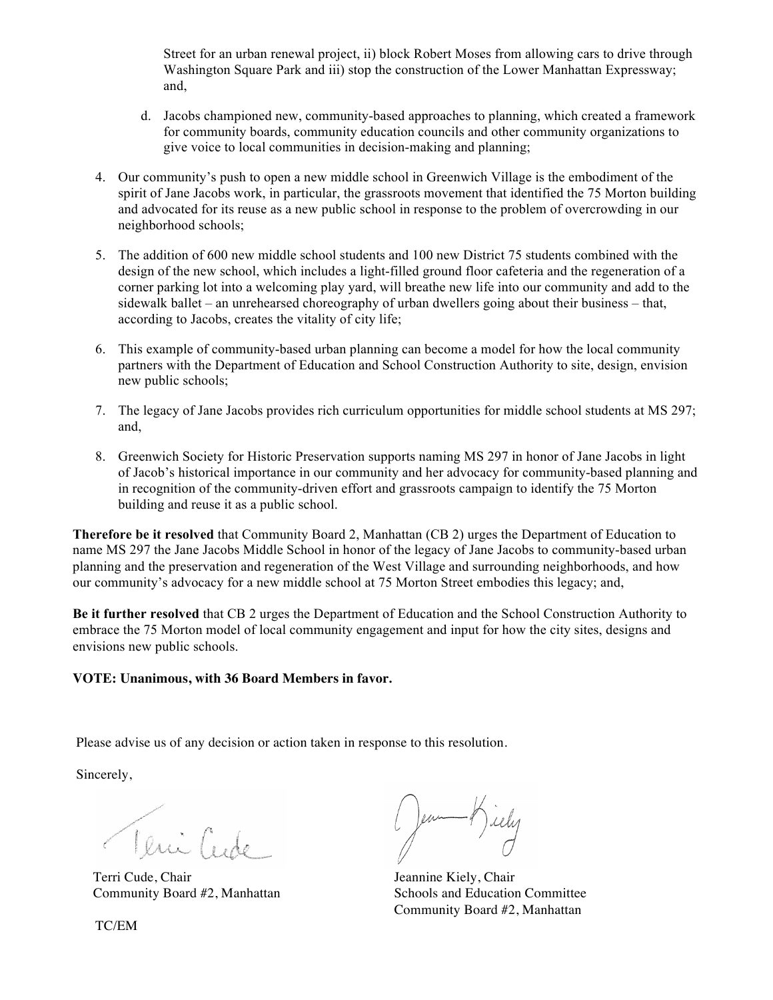Street for an urban renewal project, ii) block Robert Moses from allowing cars to drive through Washington Square Park and iii) stop the construction of the Lower Manhattan Expressway; and,

- d. Jacobs championed new, community-based approaches to planning, which created a framework for community boards, community education councils and other community organizations to give voice to local communities in decision-making and planning;
- 4. Our community's push to open a new middle school in Greenwich Village is the embodiment of the spirit of Jane Jacobs work, in particular, the grassroots movement that identified the 75 Morton building and advocated for its reuse as a new public school in response to the problem of overcrowding in our neighborhood schools;
- 5. The addition of 600 new middle school students and 100 new District 75 students combined with the design of the new school, which includes a light-filled ground floor cafeteria and the regeneration of a corner parking lot into a welcoming play yard, will breathe new life into our community and add to the sidewalk ballet – an unrehearsed choreography of urban dwellers going about their business – that, according to Jacobs, creates the vitality of city life;
- 6. This example of community-based urban planning can become a model for how the local community partners with the Department of Education and School Construction Authority to site, design, envision new public schools;
- 7. The legacy of Jane Jacobs provides rich curriculum opportunities for middle school students at MS 297; and,
- 8. Greenwich Society for Historic Preservation supports naming MS 297 in honor of Jane Jacobs in light of Jacob's historical importance in our community and her advocacy for community-based planning and in recognition of the community-driven effort and grassroots campaign to identify the 75 Morton building and reuse it as a public school.

**Therefore be it resolved** that Community Board 2, Manhattan (CB 2) urges the Department of Education to name MS 297 the Jane Jacobs Middle School in honor of the legacy of Jane Jacobs to community-based urban planning and the preservation and regeneration of the West Village and surrounding neighborhoods, and how our community's advocacy for a new middle school at 75 Morton Street embodies this legacy; and,

**Be it further resolved** that CB 2 urges the Department of Education and the School Construction Authority to embrace the 75 Morton model of local community engagement and input for how the city sites, designs and envisions new public schools.

### **VOTE: Unanimous, with 36 Board Members in favor.**

Please advise us of any decision or action taken in response to this resolution.

Sincerely,

Teni Cente

Terri Cude, Chair **Jeannine Kiely**, Chair

Jean Hiely

Community Board #2, Manhattan Schools and Education Committee Community Board #2, Manhattan

TC/EM